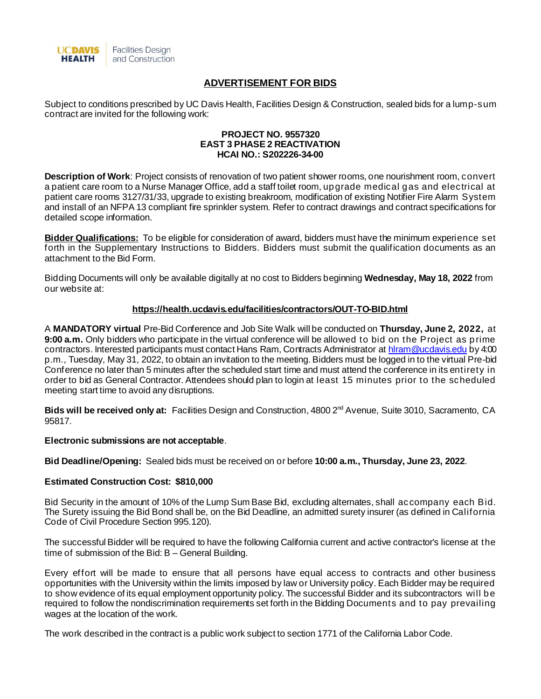

# **ADVERTISEMENT FOR BIDS**

Subject to conditions prescribed by UC Davis Health, Facilities Design & Construction, sealed bids for a lump-sum contract are invited for the following work:

#### **PROJECT NO. 9557320 EAST 3 PHASE 2 REACTIVATION HCAI NO.: S202226-34-00**

**Description of Work**: Project consists of renovation of two patient shower rooms, one nourishment room, convert a patient care room to a Nurse Manager Office, add a staff toilet room, upgrade medical gas and electrical at patient care rooms 3127/31/33, upgrade to existing breakroom, modification of existing Notifier Fire Alarm System and install of an NFPA 13 compliant fire sprinkler system. Refer to contract drawings and contract specifications for detailed scope information.

**Bidder Qualifications:** To be eligible for consideration of award, bidders must have the minimum experience set forth in the Supplementary Instructions to Bidders. Bidders must submit the qualification documents as an attachment to the Bid Form.

Bidding Documents will only be available digitally at no cost to Bidders beginning **Wednesday, May 18, 2022** from our website at:

#### **<https://health.ucdavis.edu/facilities/contractors/OUT-TO-BID.html>**

A **MANDATORY virtual** Pre-Bid Conference and Job Site Walk will be conducted on **Thursday, June 2, 2022,** at **9:00 a.m.** Only bidders who participate in the virtual conference will be allowed to bid on the Project as prime contractors. Interested participants must contact Hans Ram, Contracts Administrator a[t hlram@ucdavis.edu](mailto:hlram@ucdavis.edu) by 4:00 p.m., Tuesday, May 31, 2022, to obtain an invitation to the meeting. Bidders must be logged in to the virtual Pre-bid Conference no later than 5 minutes after the scheduled start time and must attend the conference in its entirety in order to bid as General Contractor. Attendees should plan to login at least 15 minutes prior to the scheduled meeting start time to avoid any disruptions.

**Bids will be received only at:** Facilities Design and Construction, 4800 2nd Avenue, Suite 3010, Sacramento, CA 95817.

#### **Electronic submissions are not acceptable**.

**Bid Deadline/Opening:** Sealed bids must be received on or before **10:00 a.m., Thursday, June 23, 2022**.

### **Estimated Construction Cost: \$810,000**

Bid Security in the amount of 10% of the Lump Sum Base Bid, excluding alternates, shall accompany each Bid. The Surety issuing the Bid Bond shall be, on the Bid Deadline, an admitted surety insurer (as defined in California Code of Civil Procedure Section 995.120).

The successful Bidder will be required to have the following California current and active contractor's license at the time of submission of the Bid: B – General Building.

Every effort will be made to ensure that all persons have equal access to contracts and other business opportunities with the University within the limits imposed by law or University policy. Each Bidder may be required to show evidence of its equal employment opportunity policy. The successful Bidder and its subcontractors will be required to follow the nondiscrimination requirements set forth in the Bidding Documents and to pay prevailing wages at the location of the work.

The work described in the contract is a public work subject to section 1771 of the California Labor Code.